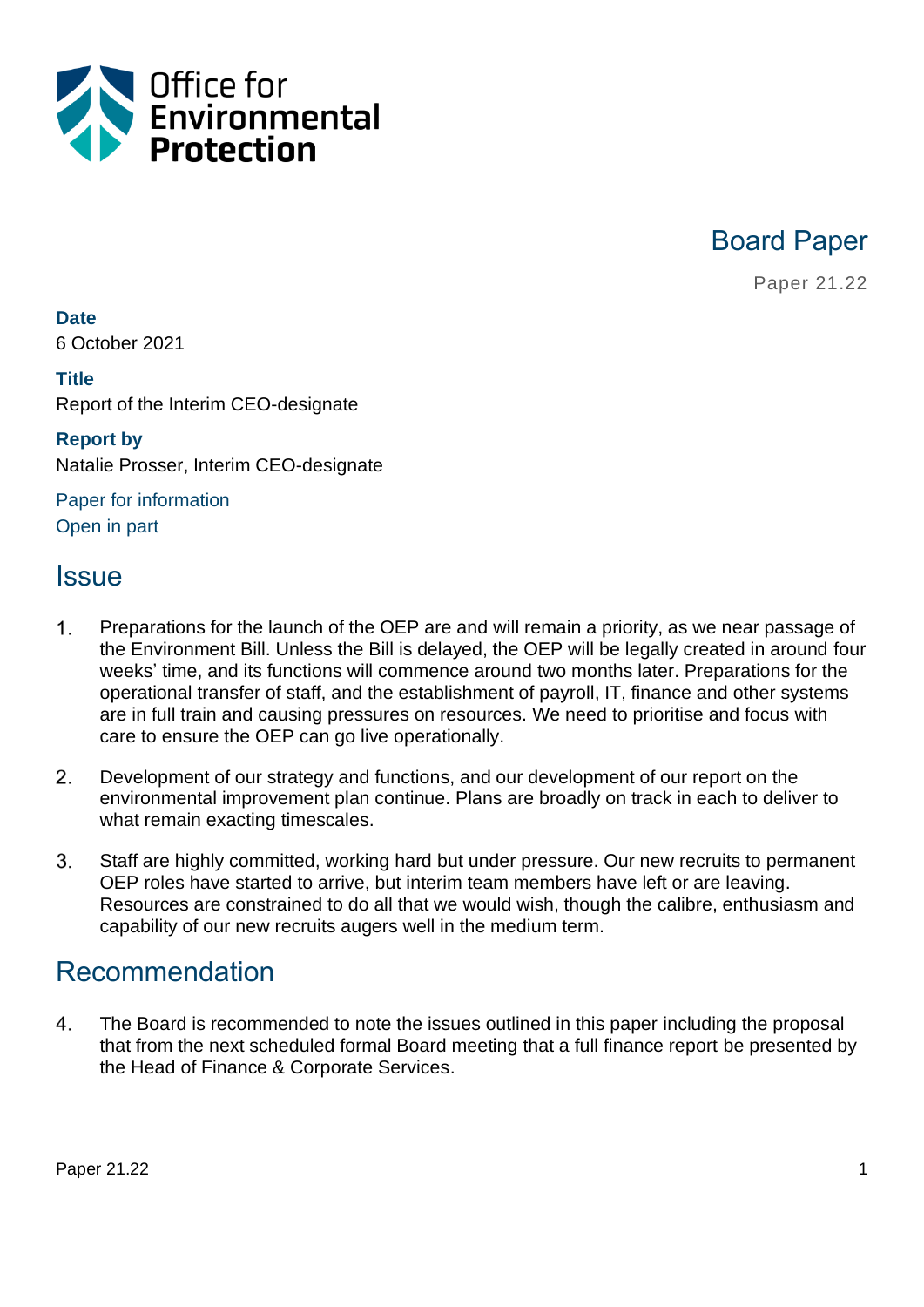

Board Paper

Paper 21.22

**Date**

6 October 2021

#### **Title**

Report of the Interim CEO-designate

## **Report by**

Natalie Prosser, Interim CEO-designate

Paper for information Open in part

## Issue

- $1<sub>1</sub>$ Preparations for the launch of the OEP are and will remain a priority, as we near passage of the Environment Bill. Unless the Bill is delayed, the OEP will be legally created in around four weeks' time, and its functions will commence around two months later. Preparations for the operational transfer of staff, and the establishment of payroll, IT, finance and other systems are in full train and causing pressures on resources. We need to prioritise and focus with care to ensure the OEP can go live operationally.
- $2.$ Development of our strategy and functions, and our development of our report on the environmental improvement plan continue. Plans are broadly on track in each to deliver to what remain exacting timescales.
- $3<sub>1</sub>$ Staff are highly committed, working hard but under pressure. Our new recruits to permanent OEP roles have started to arrive, but interim team members have left or are leaving. Resources are constrained to do all that we would wish, though the calibre, enthusiasm and capability of our new recruits augers well in the medium term.

## Recommendation

4. The Board is recommended to note the issues outlined in this paper including the proposal that from the next scheduled formal Board meeting that a full finance report be presented by the Head of Finance & Corporate Services.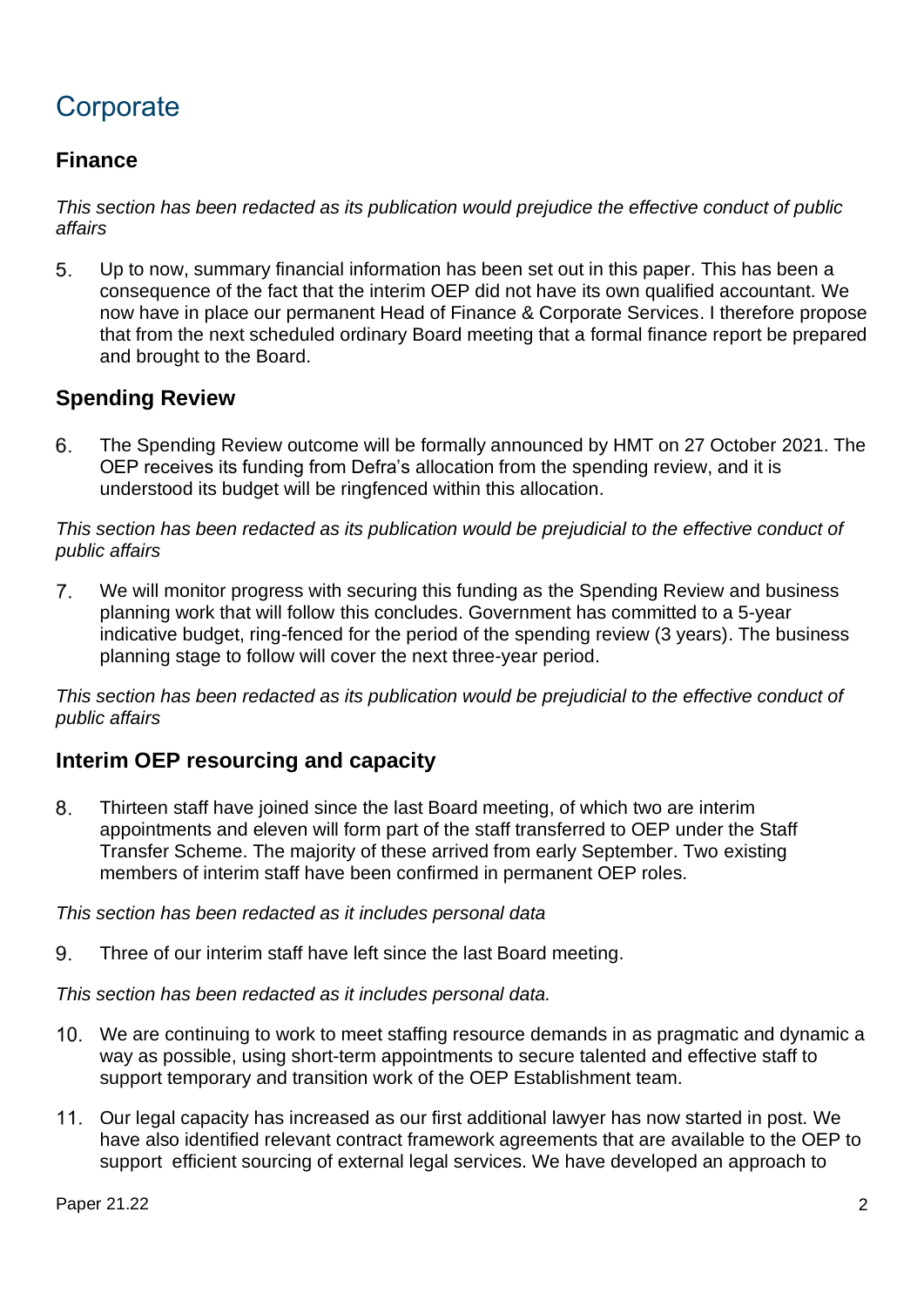# **Corporate**

## **Finance**

*This section has been redacted as its publication would prejudice the effective conduct of public affairs*

5 Up to now, summary financial information has been set out in this paper. This has been a consequence of the fact that the interim OEP did not have its own qualified accountant. We now have in place our permanent Head of Finance & Corporate Services. I therefore propose that from the next scheduled ordinary Board meeting that a formal finance report be prepared and brought to the Board.

## **Spending Review**

6. The Spending Review outcome will be formally announced by HMT on 27 October 2021. The OEP receives its funding from Defra's allocation from the spending review, and it is understood its budget will be ringfenced within this allocation.

*This section has been redacted as its publication would be prejudicial to the effective conduct of public affairs*

 $7<sub>1</sub>$ We will monitor progress with securing this funding as the Spending Review and business planning work that will follow this concludes. Government has committed to a 5-year indicative budget, ring-fenced for the period of the spending review (3 years). The business planning stage to follow will cover the next three-year period.

*This section has been redacted as its publication would be prejudicial to the effective conduct of public affairs*

## **Interim OEP resourcing and capacity**

8. Thirteen staff have joined since the last Board meeting, of which two are interim appointments and eleven will form part of the staff transferred to OEP under the Staff Transfer Scheme. The majority of these arrived from early September. Two existing members of interim staff have been confirmed in permanent OEP roles.

#### *This section has been redacted as it includes personal data*

9. Three of our interim staff have left since the last Board meeting.

*This section has been redacted as it includes personal data.*

- We are continuing to work to meet staffing resource demands in as pragmatic and dynamic a way as possible, using short-term appointments to secure talented and effective staff to support temporary and transition work of the OEP Establishment team.
- 11. Our legal capacity has increased as our first additional lawyer has now started in post. We have also identified relevant contract framework agreements that are available to the OEP to support efficient sourcing of external legal services. We have developed an approach to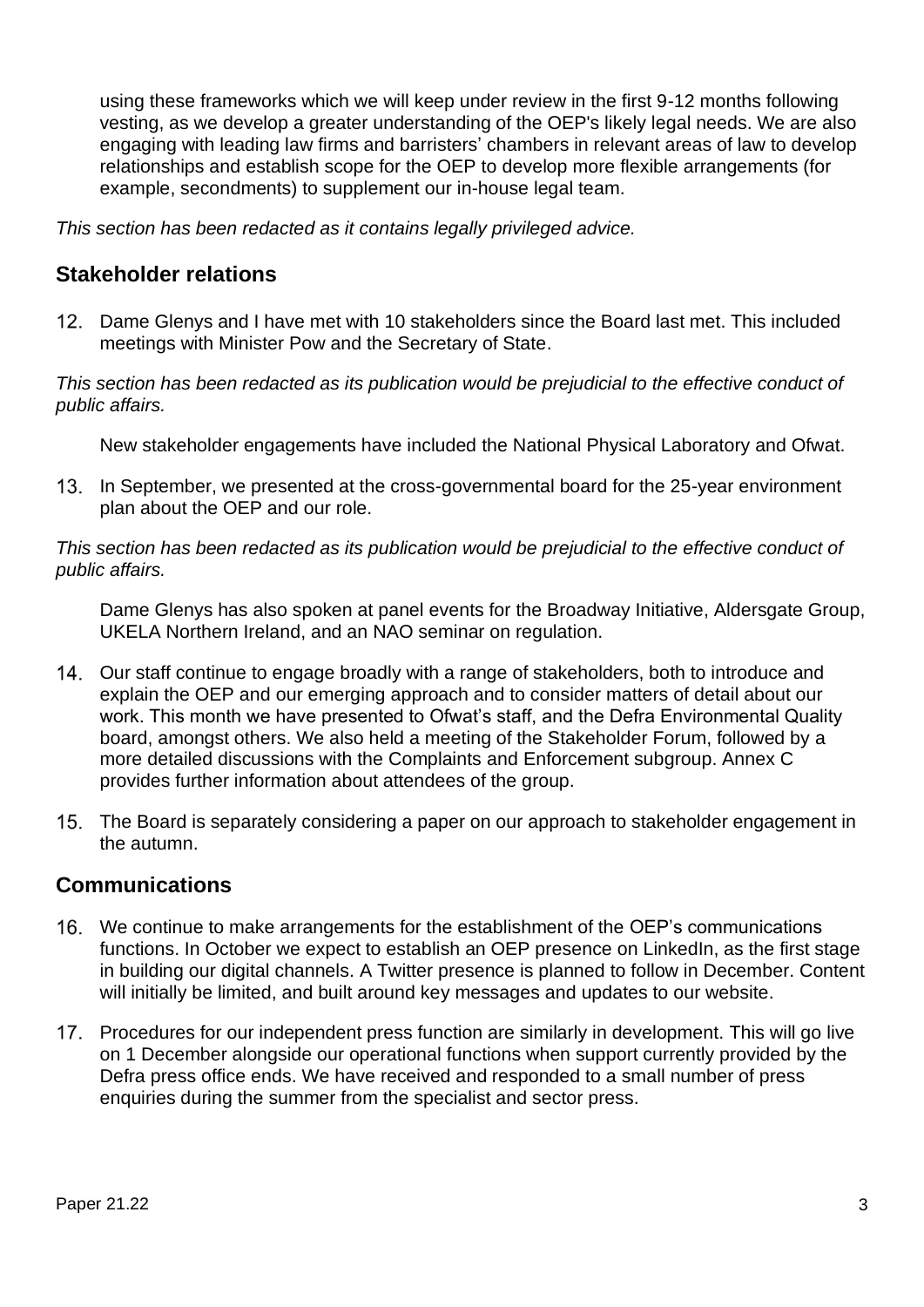using these frameworks which we will keep under review in the first 9-12 months following vesting, as we develop a greater understanding of the OEP's likely legal needs. We are also engaging with leading law firms and barristers' chambers in relevant areas of law to develop relationships and establish scope for the OEP to develop more flexible arrangements (for example, secondments) to supplement our in-house legal team.

*This section has been redacted as it contains legally privileged advice.*

## **Stakeholder relations**

12. Dame Glenys and I have met with 10 stakeholders since the Board last met. This included meetings with Minister Pow and the Secretary of State.

*This section has been redacted as its publication would be prejudicial to the effective conduct of public affairs.*

New stakeholder engagements have included the National Physical Laboratory and Ofwat.

13. In September, we presented at the cross-governmental board for the 25-year environment plan about the OEP and our role.

*This section has been redacted as its publication would be prejudicial to the effective conduct of public affairs.*

Dame Glenys has also spoken at panel events for the Broadway Initiative, Aldersgate Group, UKELA Northern Ireland, and an NAO seminar on regulation.

- 14. Our staff continue to engage broadly with a range of stakeholders, both to introduce and explain the OEP and our emerging approach and to consider matters of detail about our work. This month we have presented to Ofwat's staff, and the Defra Environmental Quality board, amongst others. We also held a meeting of the Stakeholder Forum, followed by a more detailed discussions with the Complaints and Enforcement subgroup. Annex C provides further information about attendees of the group.
- 15. The Board is separately considering a paper on our approach to stakeholder engagement in the autumn.

#### **Communications**

- We continue to make arrangements for the establishment of the OEP's communications functions. In October we expect to establish an OEP presence on LinkedIn, as the first stage in building our digital channels. A Twitter presence is planned to follow in December. Content will initially be limited, and built around key messages and updates to our website.
- 17. Procedures for our independent press function are similarly in development. This will go live on 1 December alongside our operational functions when support currently provided by the Defra press office ends. We have received and responded to a small number of press enquiries during the summer from the specialist and sector press.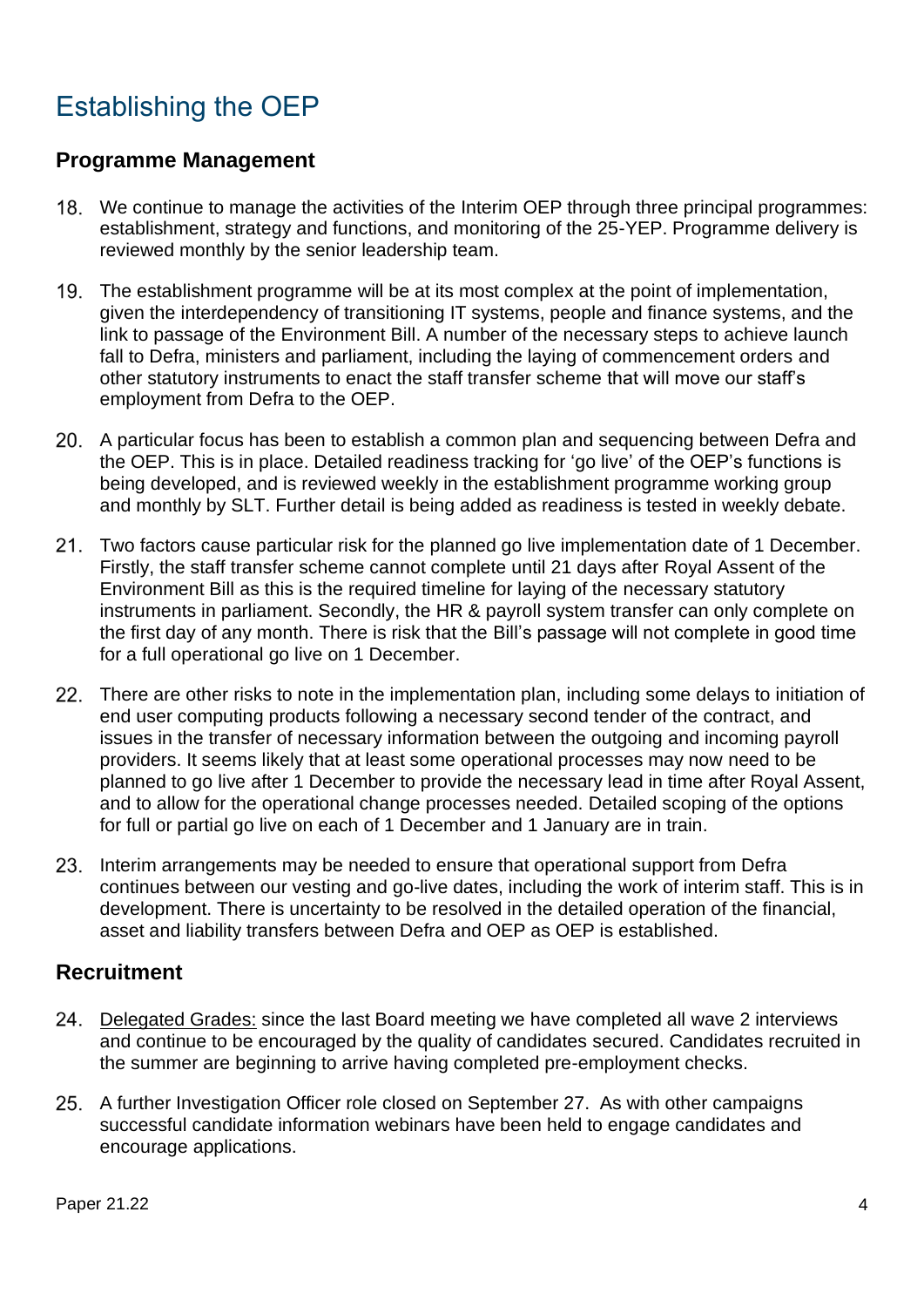# Establishing the OEP

## **Programme Management**

- 18. We continue to manage the activities of the Interim OEP through three principal programmes: establishment, strategy and functions, and monitoring of the 25-YEP. Programme delivery is reviewed monthly by the senior leadership team.
- The establishment programme will be at its most complex at the point of implementation, given the interdependency of transitioning IT systems, people and finance systems, and the link to passage of the Environment Bill. A number of the necessary steps to achieve launch fall to Defra, ministers and parliament, including the laying of commencement orders and other statutory instruments to enact the staff transfer scheme that will move our staff's employment from Defra to the OEP.
- A particular focus has been to establish a common plan and sequencing between Defra and the OEP. This is in place. Detailed readiness tracking for 'go live' of the OEP's functions is being developed, and is reviewed weekly in the establishment programme working group and monthly by SLT. Further detail is being added as readiness is tested in weekly debate.
- 21. Two factors cause particular risk for the planned go live implementation date of 1 December. Firstly, the staff transfer scheme cannot complete until 21 days after Royal Assent of the Environment Bill as this is the required timeline for laying of the necessary statutory instruments in parliament. Secondly, the HR & payroll system transfer can only complete on the first day of any month. There is risk that the Bill's passage will not complete in good time for a full operational go live on 1 December.
- 22. There are other risks to note in the implementation plan, including some delays to initiation of end user computing products following a necessary second tender of the contract, and issues in the transfer of necessary information between the outgoing and incoming payroll providers. It seems likely that at least some operational processes may now need to be planned to go live after 1 December to provide the necessary lead in time after Royal Assent, and to allow for the operational change processes needed. Detailed scoping of the options for full or partial go live on each of 1 December and 1 January are in train.
- 23. Interim arrangements may be needed to ensure that operational support from Defra continues between our vesting and go-live dates, including the work of interim staff. This is in development. There is uncertainty to be resolved in the detailed operation of the financial, asset and liability transfers between Defra and OEP as OEP is established.

## **Recruitment**

- Delegated Grades: since the last Board meeting we have completed all wave 2 interviews and continue to be encouraged by the quality of candidates secured. Candidates recruited in the summer are beginning to arrive having completed pre-employment checks.
- 25. A further Investigation Officer role closed on September 27. As with other campaigns successful candidate information webinars have been held to engage candidates and encourage applications.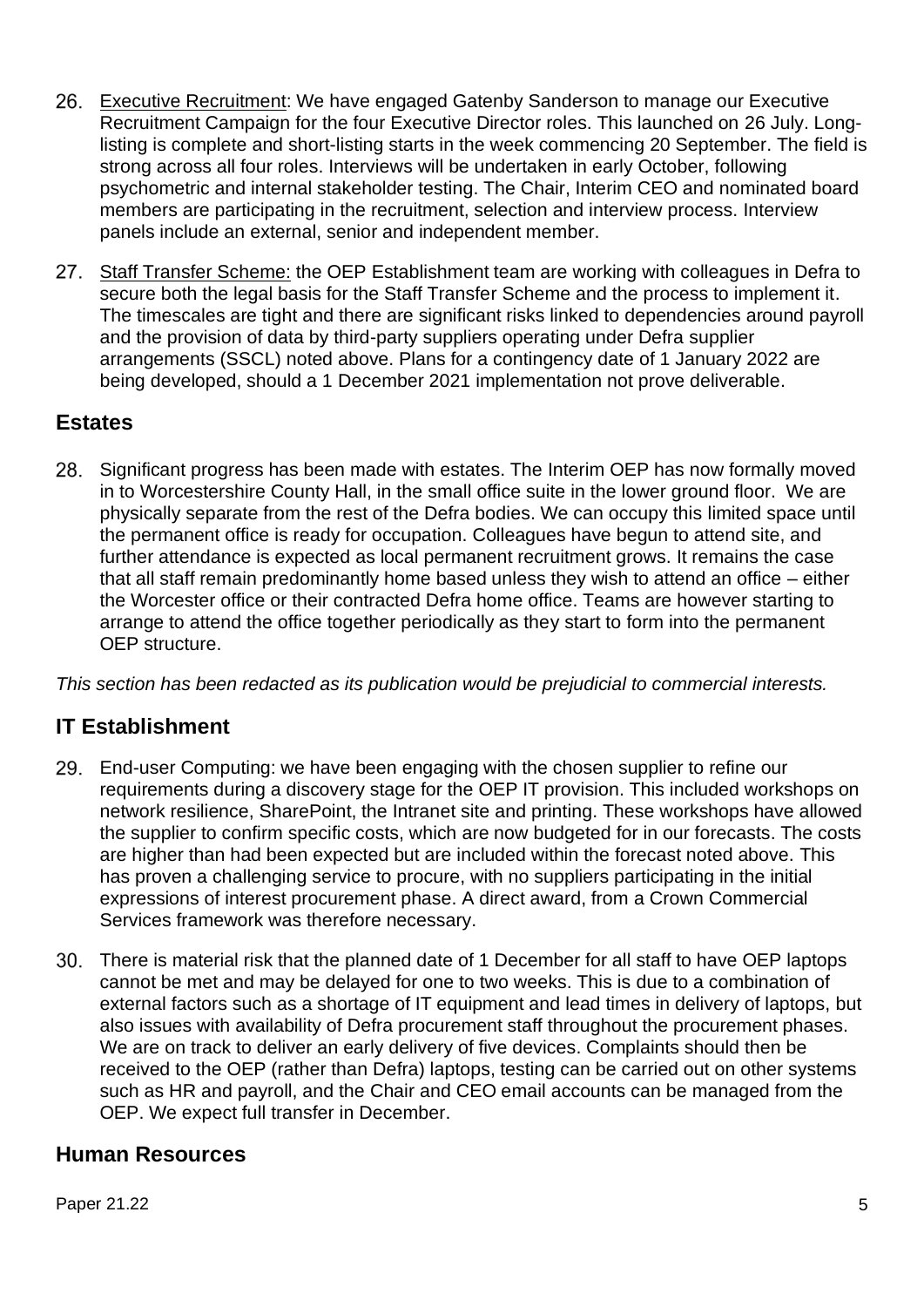- Executive Recruitment: We have engaged Gatenby Sanderson to manage our Executive Recruitment Campaign for the four Executive Director roles. This launched on 26 July. Longlisting is complete and short-listing starts in the week commencing 20 September. The field is strong across all four roles. Interviews will be undertaken in early October, following psychometric and internal stakeholder testing. The Chair, Interim CEO and nominated board members are participating in the recruitment, selection and interview process. Interview panels include an external, senior and independent member.
- 27. Staff Transfer Scheme: the OEP Establishment team are working with colleagues in Defra to secure both the legal basis for the Staff Transfer Scheme and the process to implement it. The timescales are tight and there are significant risks linked to dependencies around payroll and the provision of data by third-party suppliers operating under Defra supplier arrangements (SSCL) noted above. Plans for a contingency date of 1 January 2022 are being developed, should a 1 December 2021 implementation not prove deliverable.

## **Estates**

28. Significant progress has been made with estates. The Interim OEP has now formally moved in to Worcestershire County Hall, in the small office suite in the lower ground floor. We are physically separate from the rest of the Defra bodies. We can occupy this limited space until the permanent office is ready for occupation. Colleagues have begun to attend site, and further attendance is expected as local permanent recruitment grows. It remains the case that all staff remain predominantly home based unless they wish to attend an office – either the Worcester office or their contracted Defra home office. Teams are however starting to arrange to attend the office together periodically as they start to form into the permanent OEP structure.

*This section has been redacted as its publication would be prejudicial to commercial interests.*

## **IT Establishment**

- End-user Computing: we have been engaging with the chosen supplier to refine our requirements during a discovery stage for the OEP IT provision. This included workshops on network resilience, SharePoint, the Intranet site and printing. These workshops have allowed the supplier to confirm specific costs, which are now budgeted for in our forecasts. The costs are higher than had been expected but are included within the forecast noted above. This has proven a challenging service to procure, with no suppliers participating in the initial expressions of interest procurement phase. A direct award, from a Crown Commercial Services framework was therefore necessary.
- There is material risk that the planned date of 1 December for all staff to have OEP laptops cannot be met and may be delayed for one to two weeks. This is due to a combination of external factors such as a shortage of IT equipment and lead times in delivery of laptops, but also issues with availability of Defra procurement staff throughout the procurement phases. We are on track to deliver an early delivery of five devices. Complaints should then be received to the OEP (rather than Defra) laptops, testing can be carried out on other systems such as HR and payroll, and the Chair and CEO email accounts can be managed from the OEP. We expect full transfer in December.

## **Human Resources**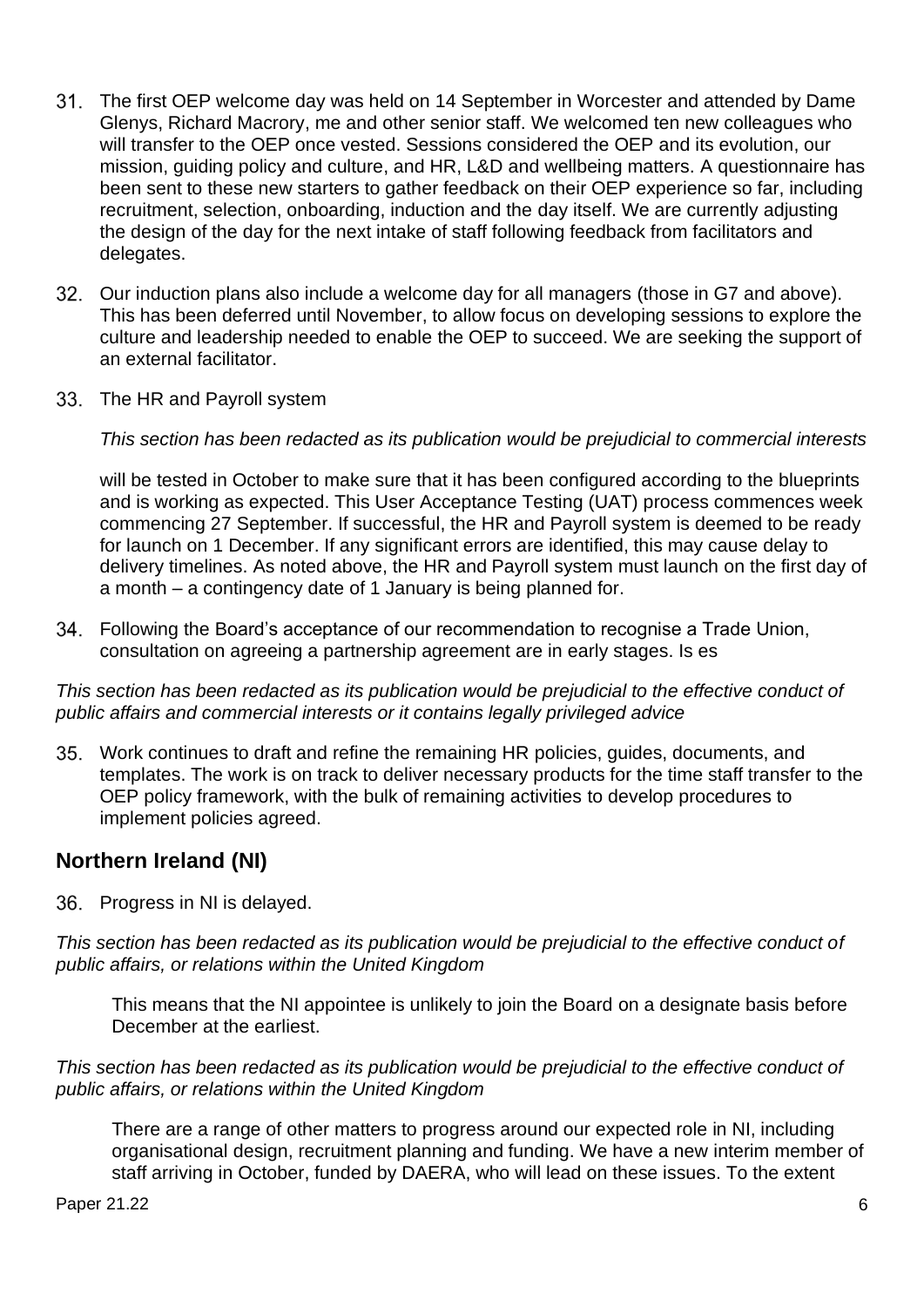- The first OEP welcome day was held on 14 September in Worcester and attended by Dame Glenys, Richard Macrory, me and other senior staff. We welcomed ten new colleagues who will transfer to the OEP once vested. Sessions considered the OEP and its evolution, our mission, guiding policy and culture, and HR, L&D and wellbeing matters. A questionnaire has been sent to these new starters to gather feedback on their OEP experience so far, including recruitment, selection, onboarding, induction and the day itself. We are currently adjusting the design of the day for the next intake of staff following feedback from facilitators and delegates.
- Our induction plans also include a welcome day for all managers (those in G7 and above). This has been deferred until November, to allow focus on developing sessions to explore the culture and leadership needed to enable the OEP to succeed. We are seeking the support of an external facilitator.
- 33. The HR and Payroll system

*This section has been redacted as its publication would be prejudicial to commercial interests*

will be tested in October to make sure that it has been configured according to the blueprints and is working as expected. This User Acceptance Testing (UAT) process commences week commencing 27 September. If successful, the HR and Payroll system is deemed to be ready for launch on 1 December. If any significant errors are identified, this may cause delay to delivery timelines. As noted above, the HR and Payroll system must launch on the first day of a month – a contingency date of 1 January is being planned for.

Following the Board's acceptance of our recommendation to recognise a Trade Union, consultation on agreeing a partnership agreement are in early stages. Is es

*This section has been redacted as its publication would be prejudicial to the effective conduct of public affairs and commercial interests or it contains legally privileged advice* 

Work continues to draft and refine the remaining HR policies, guides, documents, and templates. The work is on track to deliver necessary products for the time staff transfer to the OEP policy framework, with the bulk of remaining activities to develop procedures to implement policies agreed.

#### **Northern Ireland (NI)**

36. Progress in NI is delayed.

*This section has been redacted as its publication would be prejudicial to the effective conduct of public affairs, or relations within the United Kingdom*

This means that the NI appointee is unlikely to join the Board on a designate basis before December at the earliest.

*This section has been redacted as its publication would be prejudicial to the effective conduct of public affairs, or relations within the United Kingdom*

There are a range of other matters to progress around our expected role in NI, including organisational design, recruitment planning and funding. We have a new interim member of staff arriving in October, funded by DAERA, who will lead on these issues. To the extent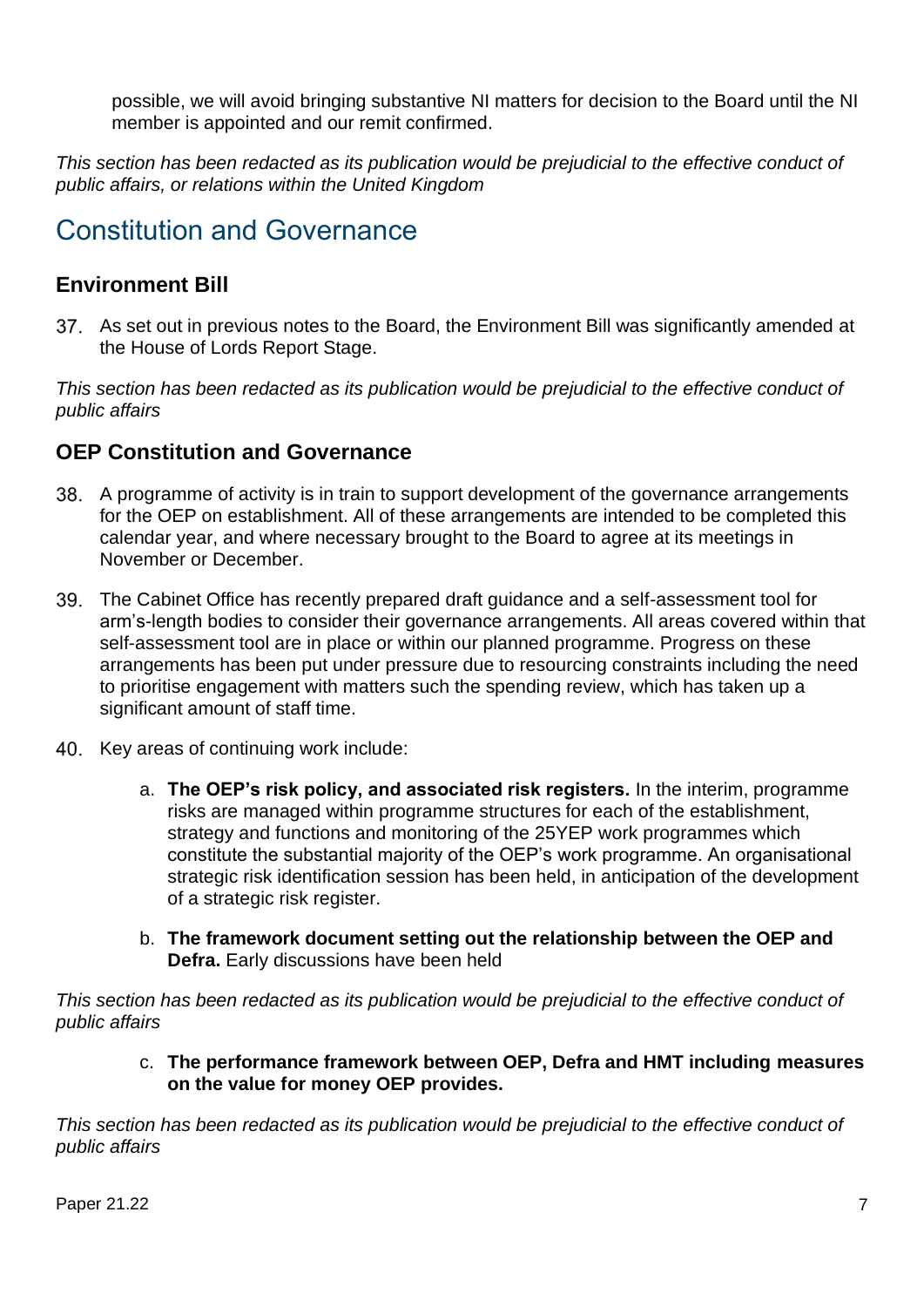possible, we will avoid bringing substantive NI matters for decision to the Board until the NI member is appointed and our remit confirmed.

*This section has been redacted as its publication would be prejudicial to the effective conduct of public affairs, or relations within the United Kingdom*

## Constitution and Governance

## **Environment Bill**

As set out in previous notes to the Board, the Environment Bill was significantly amended at the House of Lords Report Stage.

*This section has been redacted as its publication would be prejudicial to the effective conduct of public affairs*

### **OEP Constitution and Governance**

- A programme of activity is in train to support development of the governance arrangements for the OEP on establishment. All of these arrangements are intended to be completed this calendar year, and where necessary brought to the Board to agree at its meetings in November or December.
- The Cabinet Office has recently prepared draft guidance and a self-assessment tool for arm's-length bodies to consider their governance arrangements. All areas covered within that self-assessment tool are in place or within our planned programme. Progress on these arrangements has been put under pressure due to resourcing constraints including the need to prioritise engagement with matters such the spending review, which has taken up a significant amount of staff time.
- 40. Key areas of continuing work include:
	- a. **The OEP's risk policy, and associated risk registers.** In the interim, programme risks are managed within programme structures for each of the establishment, strategy and functions and monitoring of the 25YEP work programmes which constitute the substantial majority of the OEP's work programme. An organisational strategic risk identification session has been held, in anticipation of the development of a strategic risk register.
	- b. **The framework document setting out the relationship between the OEP and Defra.** Early discussions have been held

*This section has been redacted as its publication would be prejudicial to the effective conduct of public affairs*

> c. **The performance framework between OEP, Defra and HMT including measures on the value for money OEP provides.**

*This section has been redacted as its publication would be prejudicial to the effective conduct of public affairs*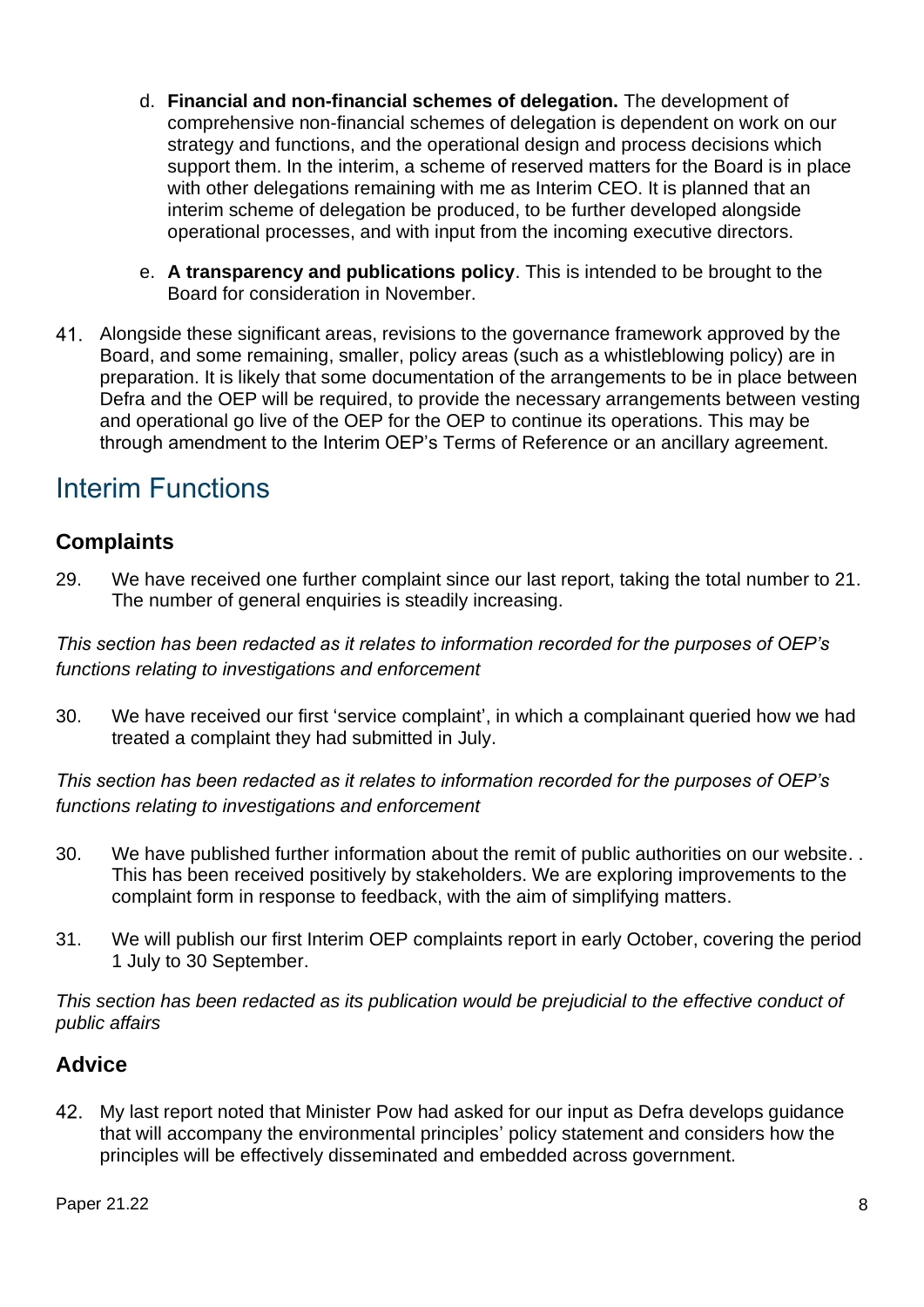- d. **Financial and non-financial schemes of delegation.** The development of comprehensive non-financial schemes of delegation is dependent on work on our strategy and functions, and the operational design and process decisions which support them. In the interim, a scheme of reserved matters for the Board is in place with other delegations remaining with me as Interim CEO. It is planned that an interim scheme of delegation be produced, to be further developed alongside operational processes, and with input from the incoming executive directors.
- e. **A transparency and publications policy**. This is intended to be brought to the Board for consideration in November.
- Alongside these significant areas, revisions to the governance framework approved by the Board, and some remaining, smaller, policy areas (such as a whistleblowing policy) are in preparation. It is likely that some documentation of the arrangements to be in place between Defra and the OEP will be required, to provide the necessary arrangements between vesting and operational go live of the OEP for the OEP to continue its operations. This may be through amendment to the Interim OEP's Terms of Reference or an ancillary agreement.

## Interim Functions

## **Complaints**

29. We have received one further complaint since our last report, taking the total number to 21. The number of general enquiries is steadily increasing.

*This section has been redacted as it relates to information recorded for the purposes of OEP's functions relating to investigations and enforcement*

30. We have received our first 'service complaint', in which a complainant queried how we had treated a complaint they had submitted in July.

*This section has been redacted as it relates to information recorded for the purposes of OEP's functions relating to investigations and enforcement*

- 30. We have published further information about the remit of public authorities on our website. . This has been received positively by stakeholders. We are exploring improvements to the complaint form in response to feedback, with the aim of simplifying matters.
- 31. We will publish our first Interim OEP complaints report in early October, covering the period 1 July to 30 September.

*This section has been redacted as its publication would be prejudicial to the effective conduct of public affairs*

## **Advice**

My last report noted that Minister Pow had asked for our input as Defra develops guidance that will accompany the environmental principles' policy statement and considers how the principles will be effectively disseminated and embedded across government.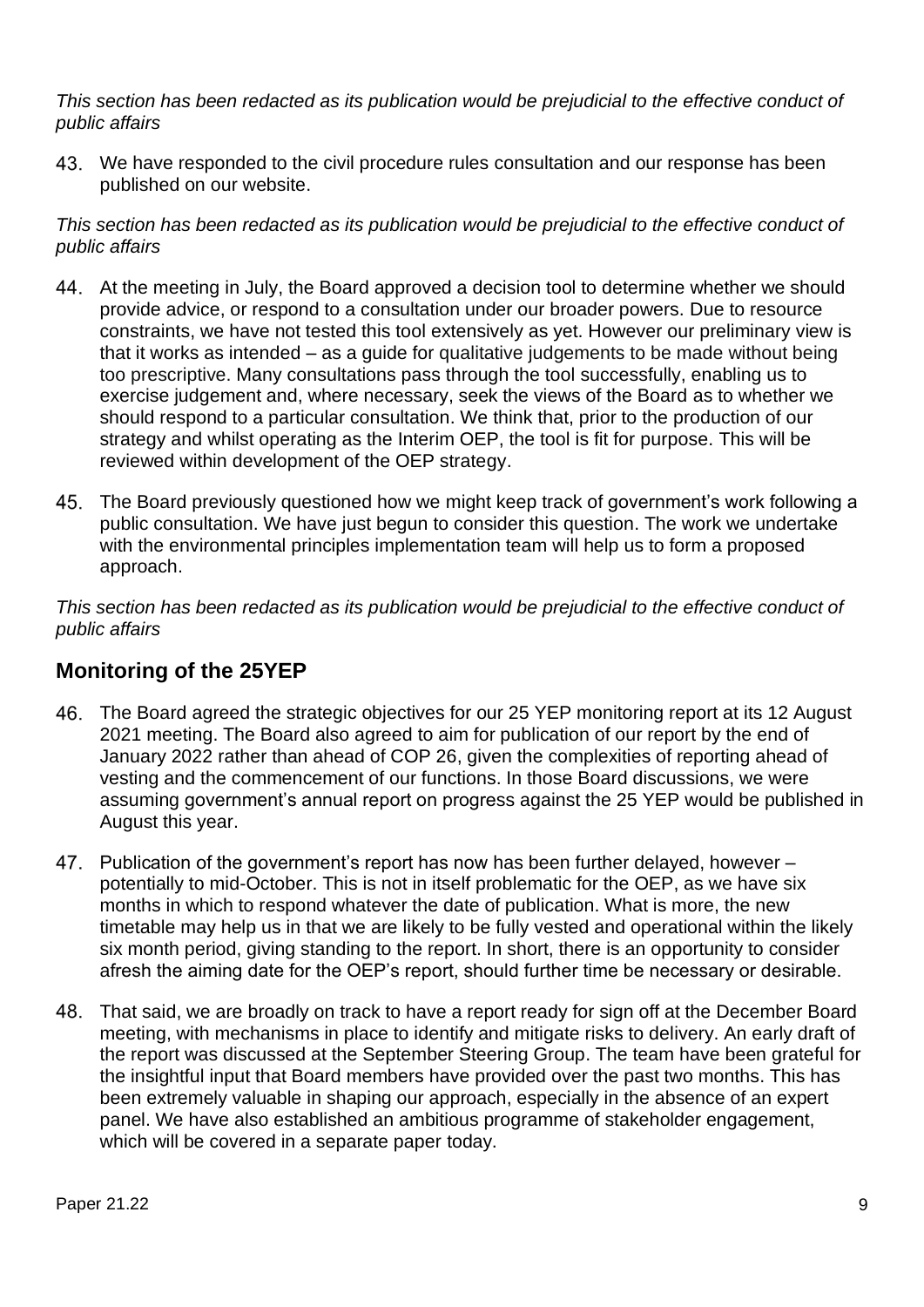*This section has been redacted as its publication would be prejudicial to the effective conduct of public affairs*

43. We have responded to the civil procedure rules consultation and our response has been published on our website.

*This section has been redacted as its publication would be prejudicial to the effective conduct of public affairs*

- At the meeting in July, the Board approved a decision tool to determine whether we should provide advice, or respond to a consultation under our broader powers. Due to resource constraints, we have not tested this tool extensively as yet. However our preliminary view is that it works as intended – as a guide for qualitative judgements to be made without being too prescriptive. Many consultations pass through the tool successfully, enabling us to exercise judgement and, where necessary, seek the views of the Board as to whether we should respond to a particular consultation. We think that, prior to the production of our strategy and whilst operating as the Interim OEP, the tool is fit for purpose. This will be reviewed within development of the OEP strategy.
- The Board previously questioned how we might keep track of government's work following a public consultation. We have just begun to consider this question. The work we undertake with the environmental principles implementation team will help us to form a proposed approach.

*This section has been redacted as its publication would be prejudicial to the effective conduct of public affairs*

## **Monitoring of the 25YEP**

- The Board agreed the strategic objectives for our 25 YEP monitoring report at its 12 August 2021 meeting. The Board also agreed to aim for publication of our report by the end of January 2022 rather than ahead of COP 26, given the complexities of reporting ahead of vesting and the commencement of our functions. In those Board discussions, we were assuming government's annual report on progress against the 25 YEP would be published in August this year.
- 47. Publication of the government's report has now has been further delayed, however potentially to mid-October. This is not in itself problematic for the OEP, as we have six months in which to respond whatever the date of publication. What is more, the new timetable may help us in that we are likely to be fully vested and operational within the likely six month period, giving standing to the report. In short, there is an opportunity to consider afresh the aiming date for the OEP's report, should further time be necessary or desirable.
- That said, we are broadly on track to have a report ready for sign off at the December Board meeting, with mechanisms in place to identify and mitigate risks to delivery. An early draft of the report was discussed at the September Steering Group. The team have been grateful for the insightful input that Board members have provided over the past two months. This has been extremely valuable in shaping our approach, especially in the absence of an expert panel. We have also established an ambitious programme of stakeholder engagement, which will be covered in a separate paper today.